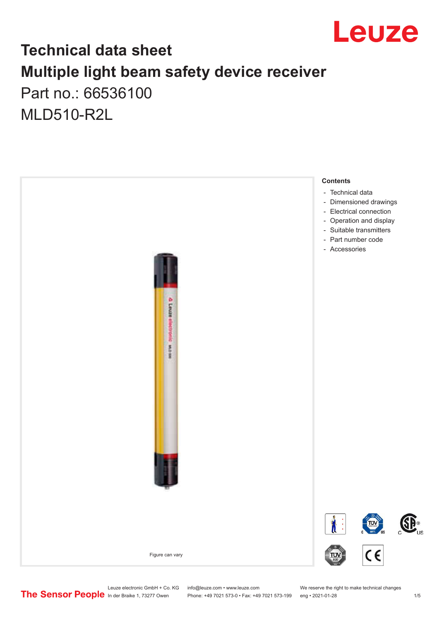

## **Technical data sheet Multiple light beam safety device receiver** Part no.: 66536100

MLD510-R2L



Phone: +49 7021 573-0 • Fax: +49 7021 573-199 eng • 2021-01-28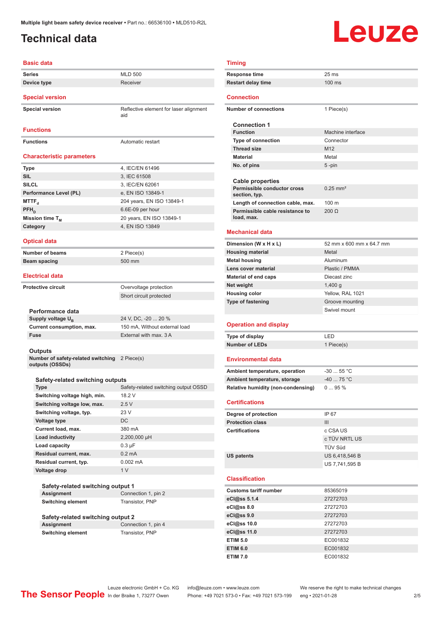### <span id="page-1-0"></span>**Technical data**

# Leuze

### **Basic data**

| Basic data                                      |                                               |
|-------------------------------------------------|-----------------------------------------------|
| <b>Series</b>                                   | <b>MLD 500</b>                                |
| Device type                                     | Receiver                                      |
|                                                 |                                               |
| <b>Special version</b>                          |                                               |
| <b>Special version</b>                          | Reflective element for laser alignment<br>aid |
| <b>Functions</b>                                |                                               |
| <b>Functions</b>                                | Automatic restart                             |
|                                                 |                                               |
| <b>Characteristic parameters</b>                |                                               |
| <b>Type</b>                                     | 4, IEC/EN 61496                               |
| <b>SIL</b>                                      | 3, IEC 61508                                  |
| <b>SILCL</b>                                    | 3, IEC/EN 62061                               |
| Performance Level (PL)                          | e, EN ISO 13849-1                             |
| MTTF,                                           | 204 years, EN ISO 13849-1                     |
| PFH <sub>D</sub>                                | 6.6E-09 per hour                              |
| Mission time T <sub>M</sub>                     | 20 years, EN ISO 13849-1                      |
| Category                                        | 4. EN ISO 13849                               |
|                                                 |                                               |
| <b>Optical data</b>                             |                                               |
| <b>Number of beams</b>                          | 2 Piece(s)                                    |
| <b>Beam spacing</b>                             | 500 mm                                        |
|                                                 |                                               |
| <b>Electrical data</b>                          |                                               |
| <b>Protective circuit</b>                       | Overvoltage protection                        |
|                                                 | Short circuit protected                       |
|                                                 |                                               |
| Performance data                                |                                               |
| Supply voltage U <sub>B</sub>                   | 24 V, DC, -20  20 %                           |
| Current consumption, max.                       | 150 mA, Without external load                 |
| Fuse                                            | External with max, 3 A                        |
| <b>Outputs</b>                                  |                                               |
| Number of safety-related switching              | 2 Piece(s)                                    |
| outputs (OSSDs)                                 |                                               |
|                                                 |                                               |
| Safety-related switching outputs<br><b>Type</b> | Safety-related switching output OSSD          |
| Switching voltage high, min.                    | 18.2 V                                        |
| Switching voltage low, max.                     | 2.5V                                          |
| Switching voltage, typ.                         | 23 V                                          |
| <b>Voltage type</b>                             | DC                                            |
| Current load, max.                              | 380 mA                                        |
| Load inductivity                                | 2,200,000 µH                                  |
| Load capacity                                   | $0.3 \mu F$                                   |
| Residual current, max.                          | $0.2 \text{ mA}$                              |
| Residual current, typ.                          | $0.002 \, \text{mA}$                          |
| Voltage drop                                    | 1 <sub>V</sub>                                |
|                                                 |                                               |
| Safety-related switching output 1               |                                               |
| <b>Assignment</b>                               | Connection 1, pin 2                           |
| <b>Switching element</b>                        | <b>Transistor, PNP</b>                        |
|                                                 |                                               |
| Safety-related switching output 2               |                                               |

**Assignment** Connection 1, pin 4 **Switching element** Transistor, PNP

| <b>Timing</b>                                                  |                                 |
|----------------------------------------------------------------|---------------------------------|
| <b>Response time</b>                                           | 25 <sub>ms</sub>                |
| <b>Restart delay time</b>                                      | 100 ms                          |
| <b>Connection</b>                                              |                                 |
| <b>Number of connections</b>                                   | 1 Piece(s)                      |
|                                                                |                                 |
| <b>Connection 1</b>                                            |                                 |
| <b>Function</b><br><b>Type of connection</b>                   | Machine interface<br>Connector  |
| <b>Thread size</b>                                             | M <sub>12</sub>                 |
| <b>Material</b>                                                | Metal                           |
| No. of pins                                                    | $5 - pin$                       |
|                                                                |                                 |
| <b>Cable properties</b><br>Permissible conductor cross         |                                 |
| section, typ.                                                  | $0.25$ mm <sup>2</sup>          |
| Length of connection cable, max.                               | 100 <sub>m</sub>                |
| Permissible cable resistance to                                | $200 \Omega$                    |
| load, max.                                                     |                                 |
| <b>Mechanical data</b>                                         |                                 |
| Dimension (W x H x L)                                          | 52 mm x 600 mm x 64.7 mm        |
| <b>Housing material</b>                                        | Metal                           |
| <b>Metal housing</b>                                           | Aluminum                        |
| Lens cover material                                            | Plastic / PMMA                  |
| <b>Material of end caps</b>                                    | Diecast zinc                    |
| Net weight                                                     | 1,400 g                         |
| <b>Housing color</b>                                           | Yellow, RAL 1021                |
| <b>Type of fastening</b>                                       | Groove mounting<br>Swivel mount |
|                                                                |                                 |
|                                                                |                                 |
| <b>Operation and display</b>                                   |                                 |
| <b>Type of display</b>                                         | LED                             |
| <b>Number of LEDs</b>                                          | 1 Piece(s)                      |
| <b>Environmental data</b>                                      |                                 |
|                                                                | $-30$ 55 °C                     |
| Ambient temperature, operation<br>Ambient temperature, storage | $-4075 °C$                      |
| Relative humidity (non-condensing)                             | 095%                            |
|                                                                |                                 |
| <b>Certifications</b>                                          |                                 |
| Degree of protection                                           | IP 67                           |
| <b>Protection class</b>                                        | III                             |
| <b>Certifications</b>                                          | c CSA US                        |
|                                                                | c TÜV NRTL US<br>TÜV Süd        |
| <b>US patents</b>                                              | US 6,418,546 B                  |
|                                                                | US 7,741,595 B                  |
|                                                                |                                 |
| <b>Classification</b>                                          |                                 |
| <b>Customs tariff number</b>                                   | 85365019                        |
| eCl@ss 5.1.4                                                   | 27272703<br>27272703            |
| eCl@ss 8.0<br>eCl@ss 9.0                                       | 27272703                        |
| eCl@ss 10.0                                                    | 27272703                        |
| eCl@ss 11.0                                                    | 27272703                        |
| <b>ETIM 5.0</b>                                                | EC001832                        |
| <b>ETIM 6.0</b>                                                | EC001832                        |
| <b>ETIM 7.0</b>                                                | EC001832                        |
|                                                                |                                 |

Leuze electronic GmbH + Co. KG info@leuze.com • www.leuze.com We reserve the right to make technical changes

ln der Braike 1, 73277 Owen Phone: +49 7021 573-0 • Fax: +49 7021 573-199 eng • 2021-01-28 2/5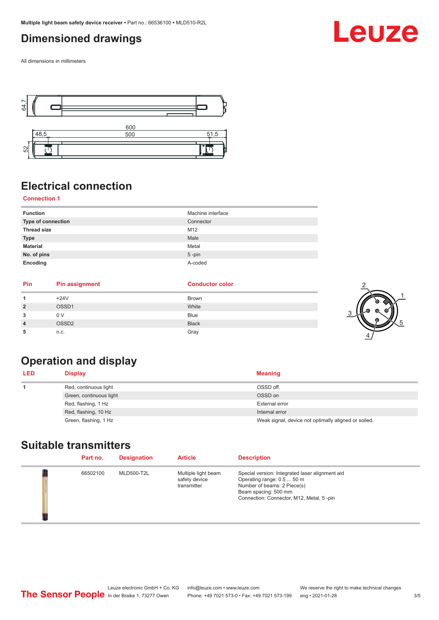### <span id="page-2-0"></span>**Dimensioned drawings**

All dimensions in millimeters



## **Electrical connection**

### **Connection 1**

| <b>Function</b>    | Machine interface |
|--------------------|-------------------|
| Type of connection | Connector         |
| <b>Thread size</b> | M12               |
| <b>Type</b>        | Male              |
| <b>Material</b>    | Metal             |
| No. of pins        | $5 - pin$         |
| Encoding           | A-coded           |

| $+24V$<br><b>Brown</b><br>OSSD1<br>White<br><b>Blue</b><br>0 V<br><b>Black</b><br>OSSD <sub>2</sub><br>Gray<br>n.c.<br>۰b | Pin | <b>Pin assignment</b> | <b>Conductor color</b> |  |
|---------------------------------------------------------------------------------------------------------------------------|-----|-----------------------|------------------------|--|
|                                                                                                                           |     |                       |                        |  |
|                                                                                                                           |     |                       |                        |  |
|                                                                                                                           |     |                       |                        |  |
|                                                                                                                           |     |                       |                        |  |
|                                                                                                                           |     |                       |                        |  |

## **Operation and display**

| <b>LED</b> | <b>Display</b>          | <b>Meaning</b>                                       |
|------------|-------------------------|------------------------------------------------------|
|            | Red, continuous light   | OSSD off.                                            |
|            | Green, continuous light | OSSD on                                              |
|            | Red, flashing, 1 Hz     | External error                                       |
|            | Red, flashing, 10 Hz    | Internal error                                       |
|            | Green, flashing, 1 Hz   | Weak signal, device not optimally aligned or soiled. |

### **Suitable transmitters**

| Part no. | <b>Designation</b> | <b>Article</b>                                      | <b>Description</b>                                                                                                                                                               |
|----------|--------------------|-----------------------------------------------------|----------------------------------------------------------------------------------------------------------------------------------------------------------------------------------|
| 66502100 | <b>MLD500-T2L</b>  | Multiple light beam<br>safety device<br>transmitter | Special version: Integrated laser alignment aid<br>Operating range: 0.5  50 m<br>Number of beams: 2 Piece(s)<br>Beam spacing: 500 mm<br>Connection: Connector, M12, Metal, 5-pin |

1

5

## Leuze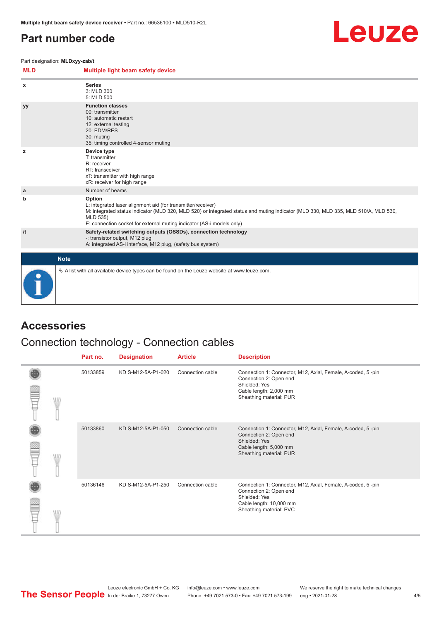### <span id="page-3-0"></span>**Part number code**



Part designation: **MLDxyy-zab/t**

| <b>MLD</b> | Multiple light beam safety device                                                                                                                                                                                                                                                                 |
|------------|---------------------------------------------------------------------------------------------------------------------------------------------------------------------------------------------------------------------------------------------------------------------------------------------------|
| x          | <b>Series</b><br>3: MLD 300<br>5: MLD 500                                                                                                                                                                                                                                                         |
| yy         | <b>Function classes</b><br>00: transmitter<br>10: automatic restart<br>12: external testing<br>20: EDM/RES<br>30: muting<br>35: timing controlled 4-sensor muting                                                                                                                                 |
| z          | Device type<br>T: transmitter<br>R: receiver<br>RT: transceiver<br>xT: transmitter with high range<br>xR: receiver for high range                                                                                                                                                                 |
| a          | Number of beams                                                                                                                                                                                                                                                                                   |
| b          | Option<br>L: integrated laser alignment aid (for transmitter/receiver)<br>M: integrated status indicator (MLD 320, MLD 520) or integrated status and muting indicator (MLD 330, MLD 335, MLD 510/A, MLD 530,<br>MLD 535)<br>E: connection socket for external muting indicator (AS-i models only) |
| /t         | Safety-related switching outputs (OSSDs), connection technology<br>-: transistor output, M12 plug<br>A: integrated AS-i interface, M12 plug, (safety bus system)                                                                                                                                  |
|            | <b>Note</b>                                                                                                                                                                                                                                                                                       |
|            | $\&$ A list with all available device types can be found on the Leuze website at www.leuze.com.                                                                                                                                                                                                   |

### **Accessories**

### Connection technology - Connection cables

|   | Part no. | <b>Designation</b> | <b>Article</b>   | <b>Description</b>                                                                                                                                           |
|---|----------|--------------------|------------------|--------------------------------------------------------------------------------------------------------------------------------------------------------------|
| W | 50133859 | KD S-M12-5A-P1-020 | Connection cable | Connection 1: Connector, M12, Axial, Female, A-coded, 5-pin<br>Connection 2: Open end<br>Shielded: Yes<br>Cable length: 2,000 mm<br>Sheathing material: PUR  |
|   | 50133860 | KD S-M12-5A-P1-050 | Connection cable | Connection 1: Connector, M12, Axial, Female, A-coded, 5-pin<br>Connection 2: Open end<br>Shielded: Yes<br>Cable length: 5,000 mm<br>Sheathing material: PUR  |
|   | 50136146 | KD S-M12-5A-P1-250 | Connection cable | Connection 1: Connector, M12, Axial, Female, A-coded, 5-pin<br>Connection 2: Open end<br>Shielded: Yes<br>Cable length: 10,000 mm<br>Sheathing material: PVC |